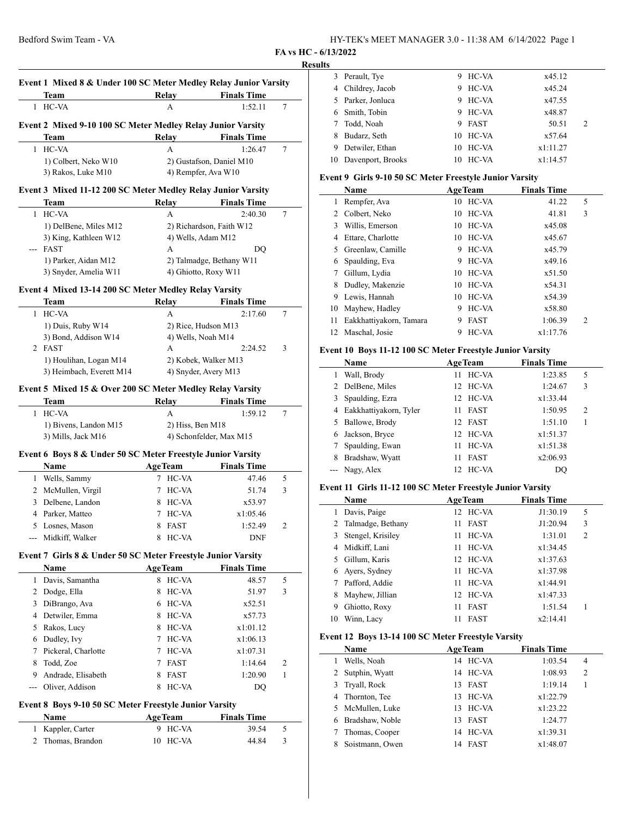**FA vs HC - 6/13/2022**

# **Results Event 1 Mixed 8 & Under 100 SC Meter Medley Relay Junior Varsity Team Relay Finals Time** 1 HC-VA A 1:52.11 7 **Event 2 Mixed 9-10 100 SC Meter Medley Relay Junior Varsity Team Relay Finals Time** 1 HC-VA A 1:26.47 7 1) Colbert, Neko W10 2) Gustafson, Daniel M10 3) Rakos, Luke M10 4) Rempfer, Ava W10 **Event 3 Mixed 11-12 200 SC Meter Medley Relay Junior Varsity Team Relay Finals Time** 1 HC-VA A 2:40.30 7 1) DelBene, Miles M12 2) Richardson, Faith W12 3) King, Kathleen W12 4) Wells, Adam M12 --- FAST A DQ 1) Parker, Aidan M12 2) Talmadge, Bethany W11 3) Snyder, Amelia W11 4) Ghiotto, Roxy W11 **Event 4 Mixed 13-14 200 SC Meter Medley Relay Varsity Team Relay Finals Time** 1 HC-VA A 2:17.60 7 1) Duis, Ruby W14 2) Rice, Hudson M13  $3)$  Bond, Addison W14  $\qquad$  4) Wells, Noah M14 2 FAST A 2:24.52 3 1) Houlihan, Logan M14 2) Kobek, Walker M13 3) Heimbach, Everett M14 4) Snyder, Avery M13 **Event 5 Mixed 15 & Over 200 SC Meter Medley Relay Varsity Team Relay Finals Time** 1 HC-VA A 1:59.12 7 1) Bivens, Landon M15 2) Hiss, Ben M18 3) Mills, Jack M16 4) Schonfelder, Max M15 **Event 6 Boys 8 & Under 50 SC Meter Freestyle Junior Varsity Name Age Team Finals Time** 1 Wells, Sammy 7 HC-VA 47.46 5 2 McMullen, Virgil 7 HC-VA 51.74 3 3 Delbene, Landon 8 HC-VA x53.97 4 Parker, Matteo 7 HC-VA x1:05.46 5 Losnes, Mason 8 FAST 1:52.49 2 --- Midkiff, Walker 8 HC-VA DNF **Event 7 Girls 8 & Under 50 SC Meter Freestyle Junior Varsity Name Age Team Finals Time** 1 Davis, Samantha 8 HC-VA 48.57 5 2 Dodge, Ella 8 HC-VA 51.97 3 3 DiBrango, Ava 6 HC-VA x52.51 4 Detwiler, Emma 8 HC-VA  $x57.73$ 5 Rakos, Lucy 8 HC-VA x1:01.12 6 Dudley, Ivy 7 HC-VA x1:06.13 7 Pickeral, Charlotte 7 HC-VA  $x1:07.31$ 8 Todd, Zoe 7 FAST 1:14.64 2 9 Andrade, Elisabeth 8 FAST 1:20.90 1 Oliver, Addison 8 HC-VA DQ **Event 8 Boys 9-10 50 SC Meter Freestyle Junior Varsity Name Age Team Finals Time**

| 1 Kappler, Carter | 9 HC-VA  | 39.54 5 |  |
|-------------------|----------|---------|--|
| 2 Thomas, Brandon | 10 HC-VA | 44.84   |  |

| w |                      |   |          |            |  |
|---|----------------------|---|----------|------------|--|
|   | 3 Perault, Tye       | 9 | HC-VA    | x45.12     |  |
|   | 4 Childrey, Jacob    | 9 | HC-VA    | x45.24     |  |
|   | 5 Parker, Jonluca    | 9 | HC-VA    | x47.55     |  |
|   | Smith, Tobin         | 9 | HC-VA    | x48.87     |  |
|   | 7 Todd, Noah         |   | 9 FAST   | 50.51<br>2 |  |
|   | Budarz, Seth         |   | 10 HC-VA | x57.64     |  |
| 9 | Detwiler, Ethan      |   | 10 HC-VA | x1:11.27   |  |
|   | 10 Davenport, Brooks |   | 10 HC-VA | x1:14.57   |  |

#### **Event 9 Girls 9-10 50 SC Meter Freestyle Junior Varsity**

|    | Name                    |    | <b>AgeTeam</b> | <b>Finals Time</b> |                           |
|----|-------------------------|----|----------------|--------------------|---------------------------|
| 1  | Rempfer, Ava            |    | 10 HC-VA       |                    | 5<br>41.22                |
| 2  | Colbert, Neko           |    | 10 HC-VA       |                    | 3<br>41.81                |
| 3  | Willis, Emerson         |    | 10 HC-VA       |                    | x45.08                    |
| 4  | Ettare, Charlotte       | 10 | HC-VA          |                    | x45.67                    |
| 5. | Greenlaw, Camille       | 9  | HC-VA          |                    | x45.79                    |
| 6  | Spaulding, Eva          | 9  | HC-VA          |                    | x49.16                    |
| 7  | Gillum, Lydia           | 10 | HC-VA          |                    | x51.50                    |
| 8  | Dudley, Makenzie        |    | 10 HC-VA       |                    | x54.31                    |
| 9  | Lewis, Hannah           |    | 10 HC-VA       |                    | x54.39                    |
| 10 | Mayhew, Hadley          | 9  | HC-VA          |                    | x58.80                    |
| 11 | Eakkhattiyakorn, Tamara | 9  | <b>FAST</b>    |                    | 1:06.39<br>$\overline{c}$ |
|    | 12 Maschal, Josie       | 9  | HC-VA          | x1:17.76           |                           |

#### **Event 10 Boys 11-12 100 SC Meter Freestyle Junior Varsity**

|   | Name                     | <b>AgeTeam</b>    | <b>Finals Time</b> |                |  |
|---|--------------------------|-------------------|--------------------|----------------|--|
| 1 | Wall, Brody              | HC-VA<br>11       | 1:23.85            | 5              |  |
|   | 2 DelBene, Miles         | 12 HC-VA          | 1:24.67            | 3              |  |
| 3 | Spaulding, Ezra          | 12 HC-VA          | x1:33.44           |                |  |
|   | 4 Eakkhattiyakorn, Tyler | <b>FAST</b><br>11 | 1:50.95            | $\overline{2}$ |  |
| 5 | Ballowe, Brody           | 12 FAST           | 1:51.10            |                |  |
| 6 | Jackson, Bryce           | 12 HC-VA          | x1:51.37           |                |  |
|   | Spaulding, Ewan          | HC-VA<br>11       | x1:51.38           |                |  |
| 8 | Bradshaw, Wyatt          | <b>FAST</b><br>11 | x2:06.93           |                |  |
|   | --- Nagy, Alex           | HC-VA             | DO                 |                |  |

#### **Event 11 Girls 11-12 100 SC Meter Freestyle Junior Varsity**

|    | Name                | <b>AgeTeam</b>     | <b>Finals Time</b> |                |  |
|----|---------------------|--------------------|--------------------|----------------|--|
|    | Davis, Paige        | 12 HC-VA           | J1:30.19           | 5              |  |
|    | 2 Talmadge, Bethany | <b>FAST</b><br>11. | J1:20.94           | 3              |  |
|    | Stengel, Krisiley   | 11 HC-VA           | 1:31.01            | $\overline{2}$ |  |
|    | 4 Midkiff, Lani     | 11 HC-VA           | x1:34.45           |                |  |
| 5. | Gillum, Karis       | 12 HC-VA           | x1:37.63           |                |  |
| 6  | Ayers, Sydney       | 11 HC-VA           | x1:37.98           |                |  |
|    | Pafford, Addie      | 11 HC-VA           | x1:44.91           |                |  |
| 8  | Mayhew, Jillian     | 12 HC-VA           | x1:47.33           |                |  |
| 9  | Ghiotto, Roxy       | <b>FAST</b><br>11  | 1:51.54            |                |  |
| 10 | Winn, Lacv          | <b>FAST</b><br>11  | x2:14.41           |                |  |

#### **Event 12 Boys 13-14 100 SC Meter Freestyle Varsity**

| Name             | <b>AgeTeam</b> | <b>Finals Time</b> |                |  |
|------------------|----------------|--------------------|----------------|--|
| Wells, Noah      | 14 HC-VA       | 1:03.54            | $\overline{4}$ |  |
| 2 Sutphin, Wyatt | 14 HC-VA       | 1:08.93            | $\overline{2}$ |  |
| 3 Tryall, Rock   | 13 FAST        | 1:19.14            |                |  |
| 4 Thornton, Tee  | 13 HC-VA       | x1:22.79           |                |  |
| 5 McMullen, Luke | 13 HC-VA       | x1:23.22           |                |  |
| Bradshaw, Noble  | 13 FAST        | 1:24.77            |                |  |
| Thomas, Cooper   | 14 HC-VA       | x1:39.31           |                |  |
| Soistmann, Owen  | 14 FAST        | x1:48.07           |                |  |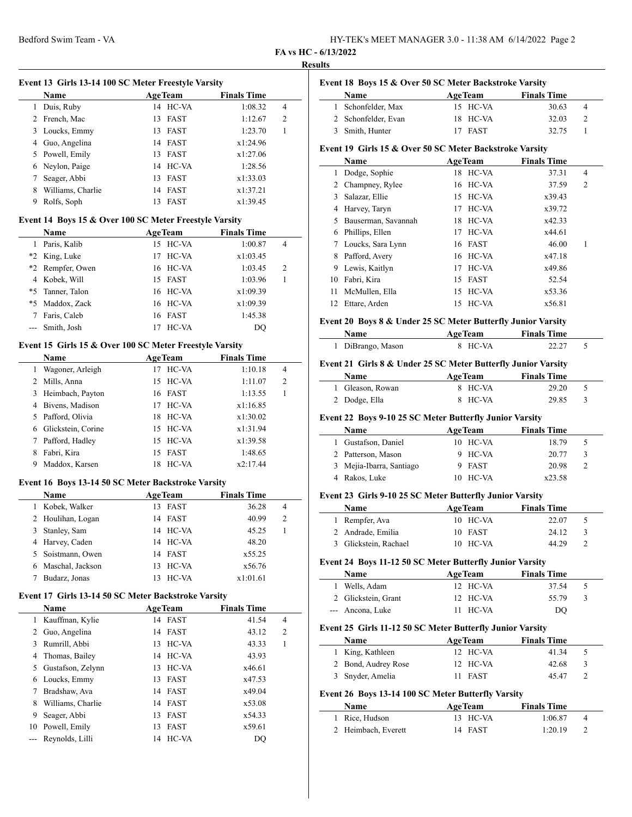| HY-TEK's MEET MANAGER 3.0 - 11:38 AM 6/14/2022 Page 2 |  |
|-------------------------------------------------------|--|
|-------------------------------------------------------|--|

### **FA vs HC - 6/13/2022 Results**

 $\overline{\phantom{a}}$ 

 $\overline{\phantom{0}}$ 

 $\overline{a}$ 

| Event 13 Girls 13-14 100 SC Meter Freestyle Varsity |                   |     |                |                    |   |  |  |
|-----------------------------------------------------|-------------------|-----|----------------|--------------------|---|--|--|
|                                                     | <b>Name</b>       |     | <b>AgeTeam</b> | <b>Finals Time</b> |   |  |  |
| 1                                                   | Duis, Ruby        |     | 14 HC-VA       | 1:08.32            | 4 |  |  |
| 2                                                   | French, Mac       | 13. | FAST           | 1:12.67            | 2 |  |  |
| 3                                                   | Loucks, Emmy      | 13  | <b>FAST</b>    | 1:23.70            |   |  |  |
| 4                                                   | Guo, Angelina     |     | 14 FAST        | x1:24.96           |   |  |  |
|                                                     | 5 Powell, Emily   | 13  | <b>FAST</b>    | x1:27.06           |   |  |  |
| 6                                                   | Neylon, Paige     |     | 14 HC-VA       | 1:28.56            |   |  |  |
|                                                     | Seager, Abbi      | 13  | <b>FAST</b>    | x1:33.03           |   |  |  |
| 8                                                   | Williams, Charlie | 14  | FAST           | x1:37.21           |   |  |  |
| 9                                                   | Rolfs, Soph       | 13  | <b>FAST</b>    | x1:39.45           |   |  |  |

#### **Event 14 Boys 15 & Over 100 SC Meter Freestyle Varsity**

| <b>Name</b>      |    | <b>AgeTeam</b> | <b>Finals Time</b> |   |
|------------------|----|----------------|--------------------|---|
| Paris, Kalib     |    | 15 HC-VA       | 1:00.87            | 4 |
| *2 King, Luke    |    | 17 HC-VA       | x1:03.45           |   |
| *2 Rempfer, Owen |    | 16 HC-VA       | 1:03.45            | 2 |
| 4 Kobek, Will    |    | 15 FAST        | 1:03.96            |   |
| *5 Tanner, Talon |    | 16 HC-VA       | x1:09.39           |   |
| *5 Maddox, Zack  |    | 16 HC-VA       | x1:09.39           |   |
| Faris, Caleb     |    | 16 FAST        | 1:45.38            |   |
| --- Smith, Josh  | 17 | HC-VA          | DO                 |   |

#### **Event 15 Girls 15 & Over 100 SC Meter Freestyle Varsity**

|    | <b>Name</b>        | <b>AgeTeam</b> | <b>Finals Time</b> |
|----|--------------------|----------------|--------------------|
|    | Wagoner, Arleigh   | HC-VA<br>17    | 1:10.18<br>4       |
| 2  | Mills, Anna        | 15 HC-VA       | 1:11.07<br>2       |
| 3  | Heimbach, Payton   | 16 FAST        | 1:13.55            |
| 4  | Bivens, Madison    | 17 HC-VA       | x1:16.85           |
| 5. | Pafford, Olivia    | HC-VA<br>18    | x1:30.02           |
| 6  | Glickstein, Corine | 15 HC-VA       | x1:31.94           |
|    | Pafford, Hadley    | 15 HC-VA       | x1:39.58           |
| 8  | Fabri, Kira        | 15 FAST        | 1:48.65            |
| 9  | Maddox, Karsen     | HC-VA<br>18    | x2:17.44           |

#### **Event 16 Boys 13-14 50 SC Meter Backstroke Varsity**

| <b>Name</b>        | <b>AgeTeam</b> | <b>Finals Time</b> |                |
|--------------------|----------------|--------------------|----------------|
| Kobek, Walker      | 13 FAST        | 36.28              | $\overline{4}$ |
| 2 Houlihan, Logan  | 14 FAST        | 40.99              | 2              |
| Stanley, Sam       | 14 HC-VA       | 45.25              |                |
| 4 Harvey, Caden    | 14 HC-VA       | 48.20              |                |
| 5 Soistmann, Owen  | 14 FAST        | x55.25             |                |
| 6 Maschal, Jackson | 13 HC-VA       | x56.76             |                |
| Budarz, Jonas      | 13 HC-VA       | x1:01.61           |                |

#### **Event 17 Girls 13-14 50 SC Meter Backstroke Varsity**

|    | <b>Name</b>       |    | <b>AgeTeam</b> | <b>Finals Time</b> |   |
|----|-------------------|----|----------------|--------------------|---|
| 1  | Kauffman, Kylie   |    | 14 FAST        | 41.54              | 4 |
| 2  | Guo, Angelina     |    | 14 FAST        | 43.12              | 2 |
| 3  | Rumrill, Abbi     |    | 13 HC-VA       | 43.33              | 1 |
| 4  | Thomas, Bailey    |    | 14 HC-VA       | 43.93              |   |
| 5  | Gustafson, Zelynn |    | 13 HC-VA       | x46.61             |   |
| 6  | Loucks, Emmy      |    | 13 FAST        | x47.53             |   |
|    | Bradshaw, Ava     |    | 14 FAST        | x49.04             |   |
| 8  | Williams, Charlie |    | 14 FAST        | x53.08             |   |
| 9  | Seager, Abbi      |    | 13 FAST        | x54.33             |   |
| 10 | Powell, Emily     | 13 | FAST           | x59.61             |   |
|    | Reynolds, Lilli   |    | 14 HC-VA       | DO                 |   |

| Name |                                                         |    | <b>AgeTeam</b> | <b>Finals Time</b> |                |
|------|---------------------------------------------------------|----|----------------|--------------------|----------------|
| 1    | Schonfelder, Max                                        | 15 | HC-VA          | 30.63              | 4              |
| 2    | Schonfelder, Evan                                       | 18 | HC-VA          | 32.03              | 2              |
| 3    | Smith, Hunter                                           | 17 | <b>FAST</b>    | 32.75              | 1              |
|      | Event 19 Girls 15 & Over 50 SC Meter Backstroke Varsity |    |                |                    |                |
|      | Name                                                    |    | <b>AgeTeam</b> | <b>Finals Time</b> |                |
| 1    | Dodge, Sophie                                           | 18 | HC-VA          | 37.31              | 4              |
| 2    | Champney, Rylee                                         | 16 | HC-VA          | 37.59              | $\overline{c}$ |
| 3    | Salazar, Ellie                                          | 15 | HC-VA          | x39.43             |                |
| 4    | Harvey, Taryn                                           | 17 | HC-VA          | x39.72             |                |
| 5    | Bauserman, Savannah                                     | 18 | HC-VA          | x42.33             |                |
| 6    | Phillips, Ellen                                         | 17 | HC-VA          | x44.61             |                |
| 7    | Loucks, Sara Lynn                                       |    | 16 FAST        | 46.00              | 1              |
| 8    | Pafford, Avery                                          | 16 | HC-VA          | x47.18             |                |
| 9    | Lewis, Kaitlyn                                          | 17 | HC-VA          | x49.86             |                |
| 10   | Fabri, Kira                                             | 15 | <b>FAST</b>    | 52.54              |                |
| 11   | McMullen, Ella                                          | 15 | HC-VA          | x53.36             |                |
| 12   | Ettare, Arden                                           | 15 | HC-VA          | x56.81             |                |

#### **Event 20 Boys 8 & Under 25 SC Meter Butterfly Junior Varsity**

| Name              | <b>AgeTeam</b> | <b>Finals Time</b> |  |
|-------------------|----------------|--------------------|--|
| 1 DiBrango, Mason | 8 HC-VA        | 22.27              |  |

#### **Event 21 Girls 8 & Under 25 SC Meter Butterfly Junior Varsity**

| <b>Name</b>      | <b>AgeTeam</b> | <b>Finals Time</b> |               |
|------------------|----------------|--------------------|---------------|
| 1 Gleason, Rowan | 8 HC-VA        | 29.20              |               |
| 2 Dodge, Ella    | 8 HC-VA        | 29.85              | $\mathcal{R}$ |

#### **Event 22 Boys 9-10 25 SC Meter Butterfly Junior Varsity**

| <b>Name</b>              | <b>AgeTeam</b> |          | <b>Finals Time</b> |               |
|--------------------------|----------------|----------|--------------------|---------------|
| 1 Gustafson, Daniel      |                | 10 HC-VA | 18.79              | $\mathcal{D}$ |
| 2 Patterson, Mason       |                | 9 HC-VA  | 20.77              | 3             |
| 3 Mejia-Ibarra, Santiago |                | 9 FAST   | 20.98              |               |
| Rakos, Luke              |                | 10 HC-VA | x23.58             |               |

#### **Event 23 Girls 9-10 25 SC Meter Butterfly Junior Varsity**

| <b>Name</b>           | <b>AgeTeam</b> | <b>Finals Time</b> |  |  |
|-----------------------|----------------|--------------------|--|--|
| 1 Rempfer, Ava        | 10 HC-VA       | 22.07              |  |  |
| 2 Andrade, Emilia     | 10 FAST        | 24.12              |  |  |
| 3 Glickstein, Rachael | 10 HC-VA       | 44.29              |  |  |

## **Event 24 Boys 11-12 50 SC Meter Butterfly Junior Varsity**

| <b>Name</b>         | <b>AgeTeam</b> | <b>Finals Time</b> |               |
|---------------------|----------------|--------------------|---------------|
| 1 Wells, Adam       | 12 HC-VA       | 37.54              |               |
| 2 Glickstein, Grant | $12$ HC-VA     | 55.79              | $\mathcal{R}$ |
| --- Ancona, Luke    | 11 HC-VA       | DO                 |               |

#### **Event 25 Girls 11-12 50 SC Meter Butterfly Junior Varsity**

| Name                | <b>AgeTeam</b> | <b>Finals Time</b> |               |
|---------------------|----------------|--------------------|---------------|
| 1 King, Kathleen    | 12 HC-VA       | 41.34              |               |
| 2 Bond, Audrey Rose | 12 HC-VA       | 42.68              | $\mathcal{R}$ |
| 3 Snyder, Amelia    | 11 FAST        | 45.47              |               |

#### **Event 26 Boys 13-14 100 SC Meter Butterfly Varsity**

| <b>Name</b>         | <b>AgeTeam</b> | <b>Finals Time</b> |  |
|---------------------|----------------|--------------------|--|
| 1 Rice, Hudson      | 13 HC-VA       | 1:06.87            |  |
| 2 Heimbach, Everett | 14 FAST        | 1:20.19            |  |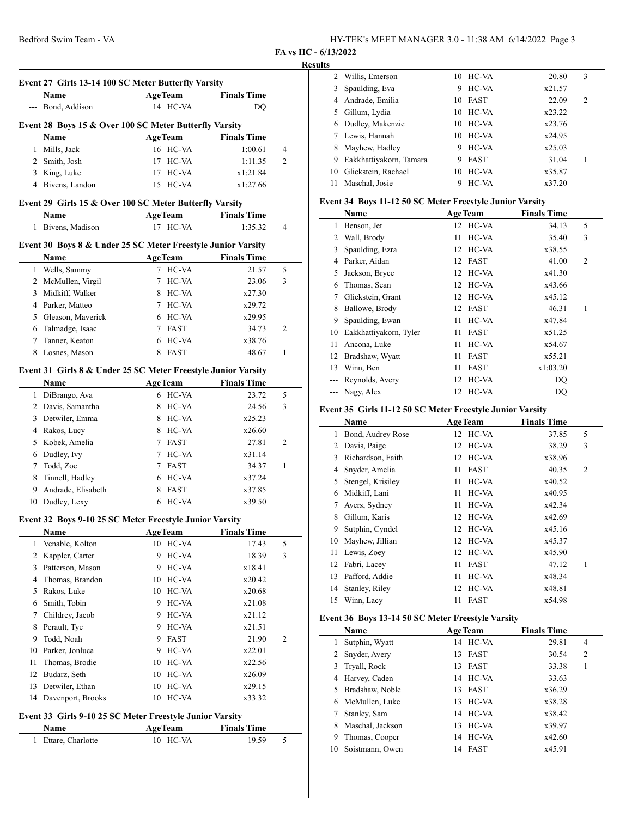**FA vs HC - 6/13/2022**

## **Results**

 $\overline{a}$ 

 $\overline{\phantom{a}}$ 

|        | Event 27 Girls 13-14 100 SC Meter Butterfly Varsity<br>Name          | <b>AgeTeam</b>          | <b>Finals Time</b> |                |
|--------|----------------------------------------------------------------------|-------------------------|--------------------|----------------|
|        | --- Bond, Addison                                                    | 14 HC-VA                | DQ                 |                |
|        | Event 28 Boys 15 & Over 100 SC Meter Butterfly Varsity               |                         |                    |                |
|        | Name                                                                 | <b>AgeTeam</b>          | <b>Finals Time</b> |                |
| 1      | Mills, Jack                                                          | 16 HC-VA                | 1:00.61            | $\overline{4}$ |
|        | 2 Smith, Josh                                                        | 17<br>HC-VA             | 1:11.35            | 2              |
|        | 3 King, Luke                                                         | HC-VA<br>17             | x1:21.84           |                |
|        | 4 Bivens, Landon                                                     | HC-VA<br>15             | x1:27.66           |                |
|        | Event 29 Girls 15 & Over 100 SC Meter Butterfly Varsity              |                         |                    |                |
|        | Name                                                                 | AgeTeam Finals Time     |                    |                |
|        | 1 Bivens, Madison                                                    | 17 HC-VA                | 1:35.32            | 4              |
|        |                                                                      |                         |                    |                |
|        | Event 30 Boys 8 & Under 25 SC Meter Freestyle Junior Varsity<br>Name | <b>AgeTeam</b>          | <b>Finals Time</b> |                |
|        | 1 Wells, Sammy                                                       | 7 HC-VA                 | 21.57              | 5              |
|        | 2 McMullen, Virgil                                                   | $\tau$<br>HC-VA         | 23.06              | 3              |
|        | 3 Midkiff, Walker                                                    | 8 HC-VA                 | x27.30             |                |
|        | 4 Parker, Matteo                                                     | HC-VA<br>7              | x29.72             |                |
|        | 5 Gleason, Maverick                                                  | 6 HC-VA                 |                    |                |
|        |                                                                      | <b>FAST</b><br>7        | x29.95             | 2              |
|        | 6 Talmadge, Isaac                                                    |                         | 34.73              |                |
| 7<br>8 | Tanner, Keaton<br>Losnes, Mason                                      | HC-VA<br>6<br>FAST<br>8 | x38.76             | 1              |
|        |                                                                      |                         | 48.67              |                |
|        | Event 31 Girls 8 & Under 25 SC Meter Freestyle Junior Varsity        |                         |                    |                |
|        | Name                                                                 | <b>AgeTeam</b>          | <b>Finals Time</b> |                |
|        | 1 DiBrango, Ava                                                      | 6 HC-VA                 | 23.72              | 5              |
|        | 2 Davis, Samantha                                                    | HC-VA<br>8              | 24.56              | 3              |
|        | 3 Detwiler, Emma                                                     | 8<br>HC-VA              | x25.23             |                |
|        | 4 Rakos, Lucy                                                        | HC-VA<br>8              | x26.60             |                |
| 5      | Kobek, Amelia                                                        | 7<br><b>FAST</b>        | 27.81              | 2              |
| 6      | Dudley, Ivy                                                          | HC-VA<br>7              | x31.14             |                |
| 7      | Todd, Zoe                                                            | FAST<br>7               | 34.37              | 1              |
| 8      | Tinnell, Hadley                                                      | HC-VA<br>6              | x37.24             |                |
|        | 9 Andrade, Elisabeth                                                 | FAST<br>8               | x37.85             |                |
| 10     | Dudley, Lexy                                                         | HC-VA<br>6              | x39.50             |                |
|        | Event 32 Boys 9-10 25 SC Meter Freestyle Junior Varsity              |                         |                    |                |
|        | <b>Name</b>                                                          | AgeTeam Finals Time     |                    |                |
| 1      | Venable, Kolton                                                      | 10 HC-VA                | 17.43              | 5              |
| 2      | Kappler, Carter                                                      | 9<br>HC-VA              | 18.39              | 3              |
|        | 3 Patterson, Mason                                                   | HC-VA<br>9              | x18.41             |                |
| 4      | Thomas, Brandon                                                      | HC-VA<br>10             | x20.42             |                |
| 5.     | Rakos, Luke                                                          | 10<br>HC-VA             | x20.68             |                |
|        | 6 Smith, Tobin                                                       | 9<br>HC-VA              | x21.08             |                |
| 7      | Childrey, Jacob                                                      | HC-VA<br>9              | x21.12             |                |
| 8      | Perault, Tye                                                         | HC-VA<br>9              | x21.51             |                |
| 9      | Todd, Noah                                                           | FAST<br>9               | 21.90              | 2              |
| 10     | Parker, Jonluca                                                      | 9<br>HC-VA              | x22.01             |                |
| 11     | Thomas, Brodie                                                       | 10                      |                    |                |
|        |                                                                      | HC-VA                   | x22.56             |                |
| 12     | Budarz, Seth                                                         | 10<br>HC-VA             | x26.09             |                |
| 13     | Detwiler, Ethan                                                      | 10<br>HC-VA             | x29.15             |                |
| 14     | Davenport, Brooks                                                    | HC-VA<br>10             | x33.32             |                |
|        | Event 33 Girls 9-10 25 SC Meter Freestyle Junior Varsity             |                         |                    |                |
|        | Name                                                                 | <b>AgeTeam</b>          | <b>Finals Time</b> |                |
|        |                                                                      |                         |                    |                |

|    | 2 Willis, Emerson       |    | 10 HC-VA | 20.80  | 3              |  |
|----|-------------------------|----|----------|--------|----------------|--|
| 3  | Spaulding, Eva          | 9  | HC-VA    | x21.57 |                |  |
| 4  | Andrade, Emilia         |    | 10 FAST  | 22.09  | $\overline{c}$ |  |
| 5. | Gillum, Lydia           |    | 10 HC-VA | x23.22 |                |  |
| 6  | Dudley, Makenzie        |    | 10 HC-VA | x23.76 |                |  |
|    | Lewis, Hannah           |    | 10 HC-VA | x24.95 |                |  |
| 8  | Mayhew, Hadley          | 9  | HC-VA    | x25.03 |                |  |
| 9  | Eakkhattiyakorn, Tamara | 9  | FAST     | 31.04  |                |  |
| 10 | Glickstein, Rachael     | 10 | HC-VA    | x35.87 |                |  |
| 11 | Maschal, Josie          | 9  | HC-VA    | x37.20 |                |  |
|    |                         |    |          |        |                |  |

## **Event 34 Boys 11-12 50 SC Meter Freestyle Junior Varsity**

|     | Name                   | <b>AgeTeam</b> |             | <b>Finals Time</b> |                |  |
|-----|------------------------|----------------|-------------|--------------------|----------------|--|
| 1   | Benson, Jet            |                | 12 HC-VA    | 34.13              | 5              |  |
| 2   | Wall, Brody            | 11             | HC-VA       | 35.40              | 3              |  |
| 3   | Spaulding, Ezra        | 12             | HC-VA       | x38.55             |                |  |
| 4   | Parker, Aidan          |                | 12 FAST     | 41.00              | $\overline{c}$ |  |
| 5   | Jackson, Bryce         | 12             | HC-VA       | x41.30             |                |  |
| 6   | Thomas, Sean           |                | 12 HC-VA    | x43.66             |                |  |
| 7   | Glickstein, Grant      |                | 12 HC-VA    | x45.12             |                |  |
| 8   | Ballowe, Brody         | 12             | <b>FAST</b> | 46.31              | 1              |  |
| 9   | Spaulding, Ewan        | 11             | HC-VA       | x47.84             |                |  |
| 10  | Eakkhattiyakorn, Tyler | 11             | <b>FAST</b> | x51.25             |                |  |
| 11  | Ancona, Luke           | 11             | HC-VA       | x54.67             |                |  |
| 12  | Bradshaw, Wyatt        | 11             | <b>FAST</b> | x55.21             |                |  |
| 13  | Winn, Ben              | 11             | <b>FAST</b> | x1:03.20           |                |  |
|     | Reynolds, Avery        | 12             | HC-VA       | DQ                 |                |  |
| --- | Nagy, Alex             |                | 12 HC-VA    | DO                 |                |  |

# **Event 35 Girls 11-12 50 SC Meter Freestyle Junior Varsity**

|    | Name              | <b>AgeTeam</b>    | <b>Finals Time</b> |   |  |
|----|-------------------|-------------------|--------------------|---|--|
| 1  | Bond, Audrey Rose | 12 HC-VA          | 37.85              | 5 |  |
| 2  | Davis, Paige      | HC-VA<br>12       | 38.29              | 3 |  |
| 3  | Richardson, Faith | HC-VA<br>12       | x38.96             |   |  |
| 4  | Snyder, Amelia    | <b>FAST</b><br>11 | 40.35              | 2 |  |
| 5  | Stengel, Krisiley | HC-VA<br>11       | x40.52             |   |  |
| 6  | Midkiff, Lani     | HC-VA<br>11       | x40.95             |   |  |
| 7  | Ayers, Sydney     | HC-VA<br>11       | x42.34             |   |  |
| 8  | Gillum, Karis     | HC-VA<br>12       | x42.69             |   |  |
| 9  | Sutphin, Cyndel   | 12 HC-VA          | x45.16             |   |  |
| 10 | Mayhew, Jillian   | 12 HC-VA          | x45.37             |   |  |
| 11 | Lewis, Zoey       | HC-VA<br>12       | x45.90             |   |  |
| 12 | Fabri, Lacey      | <b>FAST</b><br>11 | 47.12              | 1 |  |
| 13 | Pafford, Addie    | HC-VA<br>11       | x48.34             |   |  |
| 14 | Stanley, Riley    | HC-VA<br>12       | x48.81             |   |  |
| 15 | Winn, Lacy        | <b>FAST</b><br>11 | x54.98             |   |  |

## **Event 36 Boys 13-14 50 SC Meter Freestyle Varsity**

|    | Name              |     | <b>AgeTeam</b> | <b>Finals Time</b> |                |  |
|----|-------------------|-----|----------------|--------------------|----------------|--|
|    | Sutphin, Wyatt    |     | 14 HC-VA       | 29.81              | 4              |  |
|    | 2 Snyder, Avery   | 13. | <b>FAST</b>    | 30.54              | $\overline{2}$ |  |
|    | 3 Tryall, Rock    | 13. | FAST           | 33.38              |                |  |
|    | 4 Harvey, Caden   |     | 14 HC-VA       | 33.63              |                |  |
|    | 5 Bradshaw, Noble | 13  | <b>FAST</b>    | x36.29             |                |  |
|    | 6 McMullen, Luke  | 13  | HC-VA          | x38.28             |                |  |
|    | Stanley, Sam      |     | 14 HC-VA       | x38.42             |                |  |
| 8  | Maschal, Jackson  | 13. | HC-VA          | x39.97             |                |  |
| 9  | Thomas, Cooper    | 14  | HC-VA          | x42.60             |                |  |
| 10 | Soistmann, Owen   | 14  | <b>FAST</b>    | x45.91             |                |  |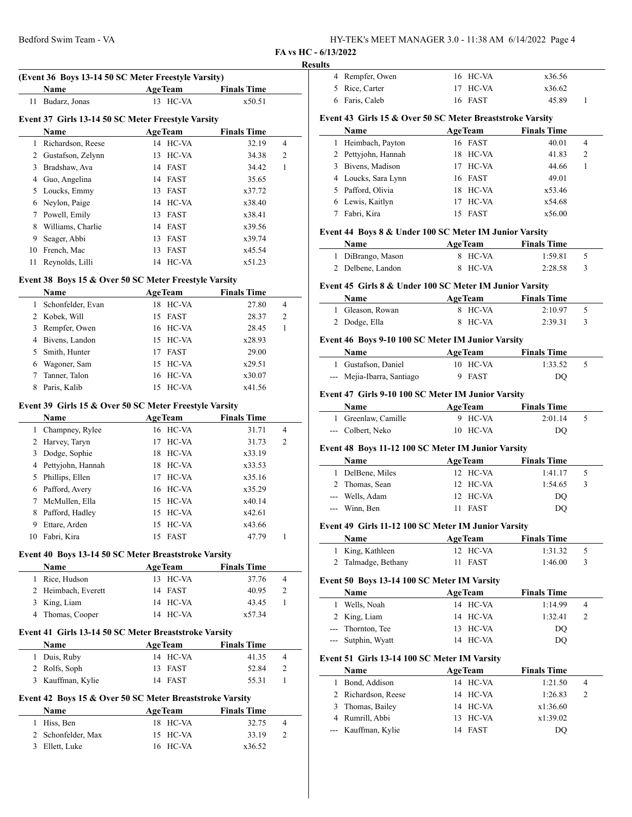| HY-TEK's MEET MANAGER 3.0 - 11:38 AM 6/14/2022 Page 4 |  |
|-------------------------------------------------------|--|
|-------------------------------------------------------|--|

**FA vs HC - 6/13/2022**

#### **Results**

|    |                                                          | (Event 36 Boys 13-14 50 SC Meter Freestyle Varsity) | <b>Finals Time</b>          |                |
|----|----------------------------------------------------------|-----------------------------------------------------|-----------------------------|----------------|
| 11 | Name<br>Budarz, Jonas                                    | <b>AgeTeam</b><br>13 HC-VA                          | x50.51                      |                |
|    |                                                          |                                                     |                             |                |
|    | Event 37 Girls 13-14 50 SC Meter Freestyle Varsity       |                                                     |                             |                |
|    | Name                                                     | <b>AgeTeam</b>                                      | <b>Finals Time</b>          |                |
|    | 1 Richardson, Reese                                      | 14 HC-VA                                            | 32.19                       | 4              |
|    | 2 Gustafson, Zelynn                                      | 13<br>HC-VA                                         | 34.38                       | 2              |
|    | 3 Bradshaw, Ava                                          | 14 FAST                                             | 34.42                       | 1              |
|    | 4 Guo, Angelina                                          | 14 FAST                                             | 35.65                       |                |
| 5  | Loucks, Emmy                                             | 13 FAST                                             | x37.72                      |                |
| 6  | Neylon, Paige                                            | 14 HC-VA                                            | x38.40                      |                |
|    | 7 Powell, Emily                                          | 13<br>FAST                                          | x38.41                      |                |
| 8  | Williams, Charlie                                        | 14 FAST                                             | x39.56                      |                |
| 9  | Seager, Abbi                                             | 13<br>FAST                                          | x39.74                      |                |
| 10 | French, Mac                                              | FAST<br>13                                          | x45.54                      |                |
| 11 | Reynolds, Lilli                                          | 14 HC-VA                                            | x51.23                      |                |
|    | Event 38 Boys 15 & Over 50 SC Meter Freestyle Varsity    |                                                     |                             |                |
|    | Name                                                     | <b>AgeTeam</b>                                      | <b>Finals Time</b>          |                |
|    | 1 Schonfelder, Evan                                      | 18 HC-VA                                            | 27.80                       | 4              |
|    | 2 Kobek, Will                                            | 15 FAST                                             | 28.37                       | 2              |
|    | 3 Rempfer, Owen                                          | 16 HC-VA                                            | 28.45                       | 1              |
|    | 4 Bivens, Landon                                         | 15 HC-VA                                            | x28.93                      |                |
| 5  | Smith, Hunter                                            | 17 FAST                                             | 29.00                       |                |
| 6  | Wagoner, Sam                                             | 15<br>HC-VA                                         | x29.51                      |                |
| 7  | Tanner, Talon                                            | HC-VA<br>16                                         | x30.07                      |                |
| 8  | Paris, Kalib                                             | HC-VA<br>15                                         | x41.56                      |                |
|    |                                                          |                                                     |                             |                |
|    | Event 39 Girls 15 & Over 50 SC Meter Freestyle Varsity   |                                                     |                             |                |
|    | Name                                                     | <b>AgeTeam</b>                                      | <b>Finals Time</b>          |                |
|    | 1 Champney, Rylee                                        | 16 HC-VA                                            | 31.71                       | $\overline{4}$ |
|    | 2 Harvey, Taryn                                          | 17 HC-VA                                            | 31.73                       | 2              |
|    | 3 Dodge, Sophie                                          | 18 HC-VA                                            | x33.19                      |                |
|    | 4 Pettyjohn, Hannah                                      | 18 HC-VA                                            | x33.53                      |                |
|    | 5 Phillips, Ellen                                        | 17 HC-VA                                            | x35.16                      |                |
|    | 6 Pafford, Avery                                         | 16 HC-VA                                            | x35.29                      |                |
| 7  | McMullen, Ella                                           | 15<br>HC-VA                                         | x40.14                      |                |
| 8  | Pafford, Hadley                                          | 15 HC-VA                                            | x42.61                      |                |
| 9  | Ettare, Arden                                            | 15 HC-VA                                            | x43.66                      |                |
|    | 10 Fabri, Kira                                           | 15 FAST                                             | 47.79                       | 1              |
|    | Event 40 Boys 13-14 50 SC Meter Breaststroke Varsity     |                                                     |                             |                |
|    | Name                                                     | <b>AgeTeam</b>                                      | <b>Finals Time</b>          |                |
|    | 1 Rice, Hudson                                           | 13 HC-VA                                            | 37.76                       | 4              |
|    | 2 Heimbach, Everett                                      | 14 FAST                                             | 40.95                       | 2              |
|    | 3 King, Liam                                             | 14 HC-VA                                            | 43.45                       | 1              |
|    | 4 Thomas, Cooper                                         | 14 HC-VA                                            | x57.34                      |                |
|    |                                                          |                                                     |                             |                |
|    | Event 41 Girls 13-14 50 SC Meter Breaststroke Varsity    |                                                     |                             |                |
|    | Name                                                     | <b>AgeTeam</b><br>14 HC-VA                          | <b>Finals Time</b><br>41.35 | 4              |
|    | 1 Duis, Ruby                                             |                                                     |                             |                |
|    | 2 Rolfs, Soph<br>3 Kauffman, Kylie                       | 13 FAST<br>14 FAST                                  | 52.84<br>55.31              | 2<br>1         |
|    |                                                          |                                                     |                             |                |
|    | Event 42 Boys 15 & Over 50 SC Meter Breaststroke Varsity |                                                     |                             |                |
|    | Name                                                     | <b>AgeTeam</b>                                      | <b>Finals Time</b>          |                |
|    | 1 Hiss, Ben                                              | 18 HC-VA                                            | 32.75                       | 4              |
|    | 2 Schonfelder, Max                                       | HC-VA<br>15<br>HC-VA                                | 33.19                       | 2              |
|    | 3 Ellett, Luke                                           | 16                                                  | x36.52                      |                |

| lts    |                                                           |                            |                               |   |
|--------|-----------------------------------------------------------|----------------------------|-------------------------------|---|
| 4      | Rempfer, Owen                                             | 16 HC-VA                   | x36.56                        |   |
| 5      | Rice, Carter                                              | 17<br>HC-VA                | x36.62                        |   |
|        | 6 Faris, Caleb                                            | 16 FAST                    | 45.89                         | 1 |
|        |                                                           |                            |                               |   |
|        | Event 43 Girls 15 & Over 50 SC Meter Breaststroke Varsity |                            |                               |   |
|        | Name                                                      | <b>AgeTeam</b>             | <b>Finals Time</b>            |   |
| 1      | Heimbach, Payton                                          | 16 FAST                    | 40.01                         | 4 |
| 2      | Pettyjohn, Hannah                                         | 18<br>HC-VA                | 41.83                         | 2 |
|        | 3 Bivens, Madison                                         | 17 HC-VA                   | 44.66                         | 1 |
|        | 4 Loucks, Sara Lynn                                       | 16 FAST                    | 49.01                         |   |
|        | 5 Pafford, Olivia                                         | 18 HC-VA                   | x53.46                        |   |
|        | 6 Lewis, Kaitlyn                                          | 17 HC-VA                   | x54.68                        |   |
| 7      | Fabri, Kira                                               | <b>FAST</b><br>15          | x56.00                        |   |
|        | Event 44 Boys 8 & Under 100 SC Meter IM Junior Varsity    |                            |                               |   |
|        | Name                                                      | <b>AgeTeam</b>             | <b>Finals Time</b>            |   |
|        | 1 DiBrango, Mason                                         | 8 HC-VA                    | 1:59.81                       | 5 |
|        | 2 Delbene, Landon                                         | HC-VA<br>8                 | 2:28.58                       | 3 |
|        | Event 45 Girls 8 & Under 100 SC Meter IM Junior Varsity   |                            |                               |   |
|        | Name                                                      | <b>AgeTeam</b>             | <b>Finals Time</b>            |   |
| 1      | Gleason, Rowan                                            | HC-VA<br>8                 | 2:10.97                       | 5 |
|        | 2 Dodge, Ella                                             | HC-VA<br>8                 | 2:39.31                       | 3 |
|        |                                                           |                            |                               |   |
|        | Event 46 Boys 9-10 100 SC Meter IM Junior Varsity         |                            |                               |   |
|        | Name                                                      | <b>AgeTeam</b>             | <b>Finals Time</b>            |   |
|        | 1 Gustafson, Daniel                                       | 10 HC-VA                   | 1:33.52                       | 5 |
|        | --- Mejia-Ibarra, Santiago                                | 9<br><b>FAST</b>           | DQ                            |   |
|        | Event 47 Girls 9-10 100 SC Meter IM Junior Varsity        |                            |                               |   |
|        | Name                                                      | <b>AgeTeam</b>             | <b>Finals Time</b>            |   |
|        | 1 Greenlaw, Camille                                       | 9 HC-VA                    | 2:01.14                       | 5 |
|        | --- Colbert, Neko                                         | 10 HC-VA                   | DQ                            |   |
|        | Event 48 Boys 11-12 100 SC Meter IM Junior Varsity        |                            |                               |   |
|        | Name                                                      |                            |                               |   |
|        | 1 DelBene, Miles                                          | <b>AgeTeam</b><br>12 HC-VA | <b>Finals Time</b><br>1:41.17 | 5 |
|        | 2 Thomas, Sean                                            | 12 HC-VA                   | 1:54.65                       | 3 |
|        | --- Wells, Adam                                           | 12 HC-VA                   |                               |   |
|        | --- Winn, Ben                                             | 11<br><b>FAST</b>          | DQ<br>DQ                      |   |
|        |                                                           |                            |                               |   |
|        | Event 49 Girls 11-12 100 SC Meter IM Junior Varsity       |                            |                               |   |
|        | Name                                                      | <b>AgeTeam</b>             | <b>Finals Time</b>            |   |
| 1      | King, Kathleen                                            | HC-VA<br>12                | 1:31.32                       | 5 |
| 2      | Talmadge, Bethany                                         | 11<br>FAST                 | 1:46.00                       | 3 |
|        | Event 50 Boys 13-14 100 SC Meter IM Varsity               |                            |                               |   |
|        | Name                                                      | <b>AgeTeam</b>             | <b>Finals Time</b>            |   |
| 1      | Wells, Noah                                               | 14 HC-VA                   | 1:14.99                       | 4 |
| 2      | King, Liam                                                | HC-VA<br>14                | 1:32.41                       | 2 |
|        | --- Thornton, Tee                                         | HC-VA<br>13                | DQ                            |   |
| ---    | Sutphin, Wyatt                                            | HC-VA<br>14                | DQ                            |   |
|        |                                                           |                            |                               |   |
|        | Event 51 Girls 13-14 100 SC Meter IM Varsity              |                            |                               |   |
|        | Name                                                      | <b>AgeTeam</b>             | <b>Finals Time</b>            | 4 |
| 1      | Bond, Addison                                             | HC-VA<br>14                | 1:21.50                       |   |
| 2      | Richardson, Reese                                         | HC-VA<br>14                | 1:26.83                       | 2 |
| 3<br>4 | Thomas, Bailey<br>Rumrill, Abbi                           | 14 HC-VA<br>HC-VA          | x1:36.60<br>x1:39.02          |   |
| ---    |                                                           | 13<br>FAST                 |                               |   |
|        | Kauffman, Kylie                                           | 14                         | DQ                            |   |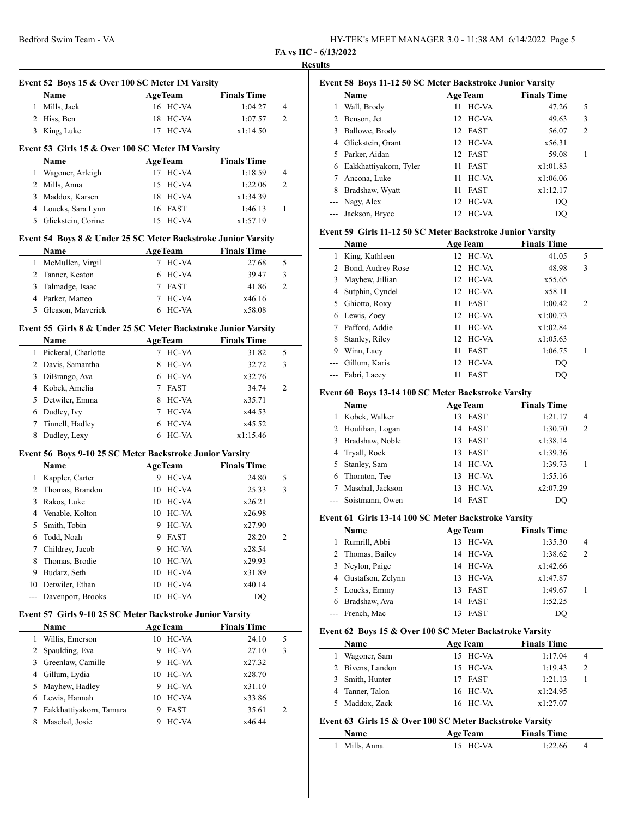# **FA vs HC - 6/13/2022**

|                       | Event 52 Boys 15 & Over 100 SC Meter IM Varsity                |                      |                    |                |
|-----------------------|----------------------------------------------------------------|----------------------|--------------------|----------------|
|                       | Name                                                           | <b>AgeTeam</b>       | <b>Finals Time</b> |                |
|                       | 1 Mills, Jack                                                  | 16 HC-VA             | 1:04.27            | 4              |
|                       | 2 Hiss, Ben                                                    | 18 HC-VA             | 1:07.57            | 2              |
|                       | 3 King, Luke                                                   | 17 HC-VA             | x1:14.50           |                |
|                       | Event 53 Girls 15 & Over 100 SC Meter IM Varsity               |                      |                    |                |
|                       | Name                                                           | <b>AgeTeam</b>       | <b>Finals Time</b> |                |
|                       | 1 Wagoner, Arleigh                                             | 17 HC-VA             | 1:18.59            | 4              |
|                       | 2 Mills, Anna                                                  | 15 HC-VA             | 1:22.06            | 2              |
|                       | 3 Maddox, Karsen                                               | 18 HC-VA             | x1:34.39           |                |
|                       | 4 Loucks, Sara Lynn                                            | 16 FAST              | 1:46.13            | 1              |
|                       | 5 Glickstein, Corine                                           | 15 HC-VA             | x1:57.19           |                |
|                       | Event 54 Boys 8 & Under 25 SC Meter Backstroke Junior Varsity  |                      |                    |                |
|                       | Name                                                           | <b>AgeTeam</b>       | <b>Finals Time</b> |                |
|                       | 1 McMullen, Virgil                                             | 7 HC-VA              | 27.68              | 5              |
|                       | 2 Tanner, Keaton                                               | 6 HC-VA              | 39.47              | 3              |
|                       | 3 Talmadge, Isaac                                              | 7 FAST               | 41.86              | $\overline{c}$ |
|                       | 4 Parker, Matteo                                               | 7 HC-VA              | x46.16             |                |
|                       | 5 Gleason, Maverick                                            | 6 HC-VA              | x58.08             |                |
|                       | Event 55 Girls 8 & Under 25 SC Meter Backstroke Junior Varsity |                      |                    |                |
|                       | Name                                                           | <b>AgeTeam</b>       | <b>Finals Time</b> |                |
|                       | 1 Pickeral, Charlotte                                          | 7 HC-VA              | 31.82              | 5              |
|                       | 2 Davis, Samantha                                              | 8 HC-VA              | 32.72              | 3              |
|                       | 3 DiBrango, Ava                                                | 6 HC-VA              | x32.76             |                |
|                       | 4 Kobek, Amelia                                                | 7 FAST               | 34.74              | 2              |
|                       | 5 Detwiler, Emma                                               | 8 HC-VA              | x35.71             |                |
|                       | 6 Dudley, Ivy                                                  | 7 HC-VA              | x44.53             |                |
| $7^{\circ}$           | Tinnell, Hadley                                                | 6 HC-VA              | x45.52             |                |
| 8                     | Dudley, Lexy                                                   | 6 HC-VA              | x1:15.46           |                |
|                       | Event 56 Boys 9-10 25 SC Meter Backstroke Junior Varsity       |                      |                    |                |
|                       | Name                                                           | <b>AgeTeam</b>       | <b>Finals Time</b> |                |
| $\mathbf{1}$          | Kappler, Carter                                                | 9 HC-VA              | 24.80              | 5              |
| 2                     | Thomas, Brandon                                                | 10 HC-VA             | 25.33              | 3              |
| 3                     | Rakos, Luke                                                    | 10 HC-VA             | x26.21             |                |
|                       | 4 Venable, Kolton                                              | 10 HC-VA             | x26.98             |                |
|                       | Smith, Tobin                                                   | HC-VA<br>9           | x27.90             |                |
| 5                     | Todd, Noah                                                     | 9 FAST               | 28.20              | 2              |
| 6                     |                                                                |                      | x28.54             |                |
| $7^{\circ}$           | Childrey, Jacob                                                | HC-VA<br>9.          |                    |                |
| 8                     | Thomas, Brodie                                                 | 10 HC-VA             | x29.93             |                |
| 9                     | Budarz, Seth                                                   | 10 HC-VA             | x31.89             |                |
|                       | 10 Detwiler, Ethan                                             | HC-VA<br>10          | x40.14             |                |
|                       | Davenport, Brooks                                              | HC-VA<br>10          | DQ                 |                |
|                       | Event 57 Girls 9-10 25 SC Meter Backstroke Junior Varsity      |                      |                    |                |
|                       | Name                                                           | <b>AgeTeam</b>       | <b>Finals Time</b> |                |
| 1                     | Willis, Emerson                                                | 10 HC-VA             | 24.10              | 5              |
| $\overline{2}$        | Spaulding, Eva                                                 | 9<br>HC-VA           | 27.10              | 3              |
| 3                     | Greenlaw, Camille                                              | 9 HC-VA              | x27.32             |                |
| $-$<br>$\overline{4}$ | Gillum, Lydia                                                  | 10 HC-VA             | x28.70             |                |
| 5                     | Mayhew, Hadley                                                 | 9 HC-VA              | x31.10             |                |
|                       | 6 Lewis, Hannah                                                | HC-VA<br>10          | x33.86             |                |
| 7                     | Eakkhattiyakorn, Tamara<br>Maschal, Josie                      | FAST<br>9<br>9 HC-VA | 35.61              | 2              |

| Event 58 Boys 11-12 50 SC Meter Backstroke Junior Varsity |                        |                   |                    |                |  |
|-----------------------------------------------------------|------------------------|-------------------|--------------------|----------------|--|
|                                                           | Name                   | <b>AgeTeam</b>    | <b>Finals Time</b> |                |  |
|                                                           | Wall, Brody            | HC-VA<br>11       | 47.26              | 5              |  |
|                                                           | Benson, Jet            | 12 HC-VA          | 49.63              | 3              |  |
| 3                                                         | Ballowe, Brody         | 12 FAST           | 56.07              | $\overline{2}$ |  |
| 4                                                         | Glickstein, Grant      | 12 HC-VA          | x56.31             |                |  |
|                                                           | 5 Parker, Aidan        | 12 FAST           | 59.08              | 1              |  |
| 6                                                         | Eakkhattiyakorn, Tyler | <b>FAST</b><br>11 | x1:01.83           |                |  |
|                                                           | Ancona, Luke           | HC-VA<br>11       | x1:06.06           |                |  |
| 8                                                         | Bradshaw, Wyatt        | <b>FAST</b><br>11 | x1:12.17           |                |  |
|                                                           | --- Nagy, Alex         | 12 HC-VA          | DO                 |                |  |
|                                                           | Jackson, Bryce         | 12 HC-VA          | DO.                |                |  |

#### **Event 59 Girls 11-12 50 SC Meter Backstroke Junior Varsity**

|   | Name                | <b>AgeTeam</b>    | <b>Finals Time</b> |                |
|---|---------------------|-------------------|--------------------|----------------|
|   | 1 King, Kathleen    | 12 HC-VA          | 41.05              | 5              |
|   | 2 Bond, Audrey Rose | 12 HC-VA          | 48.98              | 3              |
| 3 | Mayhew, Jillian     | 12 HC-VA          | x55.65             |                |
| 4 | Sutphin, Cyndel     | 12 HC-VA          | x58.11             |                |
|   | 5 Ghiotto, Roxy     | <b>FAST</b><br>11 | 1:00.42            | $\overline{2}$ |
| 6 | Lewis, Zoey         | 12 HC-VA          | x1:00.73           |                |
|   | Pafford, Addie      | HC-VA<br>11       | x1:02.84           |                |
| 8 | Stanley, Riley      | 12 HC-VA          | x1:05.63           |                |
| 9 | Winn, Lacy          | <b>FAST</b><br>11 | 1:06.75            | 1              |
|   | Gillum, Karis       | 12 HC-VA          | DQ                 |                |
|   | Fabri, Lacey        | <b>FAST</b><br>11 | DO                 |                |

#### **Event 60 Boys 13-14 100 SC Meter Backstroke Varsity**

| Name                |     | <b>AgeTeam</b> | <b>Finals Time</b> |                |
|---------------------|-----|----------------|--------------------|----------------|
| Kobek, Walker       | 13  | FAST           | 1:21.17            | 4              |
| 2 Houlihan, Logan   |     | 14 FAST        | 1:30.70            | $\overline{2}$ |
| 3 Bradshaw, Noble   | 13. | <b>FAST</b>    | x1:38.14           |                |
| 4 Tryall, Rock      | 13. | FAST           | x1:39.36           |                |
| 5 Stanley, Sam      |     | 14 HC-VA       | 1:39.73            |                |
| Thornton, Tee       | 13  | HC-VA          | 1:55.16            |                |
| Maschal, Jackson    | 13  | HC-VA          | x2:07.29           |                |
| --- Soistmann, Owen | 14  | FAST           | DO                 |                |

#### **Event 61 Girls 13-14 100 SC Meter Backstroke Varsity**

|    | Name                | AgeTeam     |  | <b>Finals Time</b> |                |
|----|---------------------|-------------|--|--------------------|----------------|
| 1. | Rumrill, Abbi       | 13 HC-VA    |  | 1:35.30            | 4              |
|    | 2 Thomas, Bailey    | 14 HC-VA    |  | 1:38.62            | $\overline{c}$ |
|    | 3 Neylon, Paige     | 14 HC-VA    |  | x1:42.66           |                |
|    | 4 Gustafson, Zelynn | 13 HC-VA    |  | x1:47.87           |                |
|    | 5 Loucks, Emmy      | 13 FAST     |  | 1:49.67            |                |
|    | 6 Bradshaw, Ava     | 14 FAST     |  | 1:52.25            |                |
|    | --- French, Mac     | <b>FAST</b> |  | DO                 |                |

#### **Event 62 Boys 15 & Over 100 SC Meter Backstroke Varsity**

| <b>Name</b>      | <b>AgeTeam</b> | <b>Finals Time</b> |  |
|------------------|----------------|--------------------|--|
| Wagoner, Sam     | 15 HC-VA       | 1:17.04            |  |
| 2 Bivens, Landon | 15 HC-VA       | 1:19.43            |  |
| 3 Smith, Hunter  | 17 FAST        | 1:21.13            |  |
| 4 Tanner, Talon  | 16 HC-VA       | x1:24.95           |  |
| 5 Maddox, Zack   | 16 HC-VA       | x1:27.07           |  |

## **Event 63 Girls 15 & Over 100 SC Meter Backstroke Varsity**

| Name          | <b>AgeTeam</b> | <b>Finals Time</b> |  |
|---------------|----------------|--------------------|--|
| 1 Mills. Anna | 15 HC-VA       | 1:22.66            |  |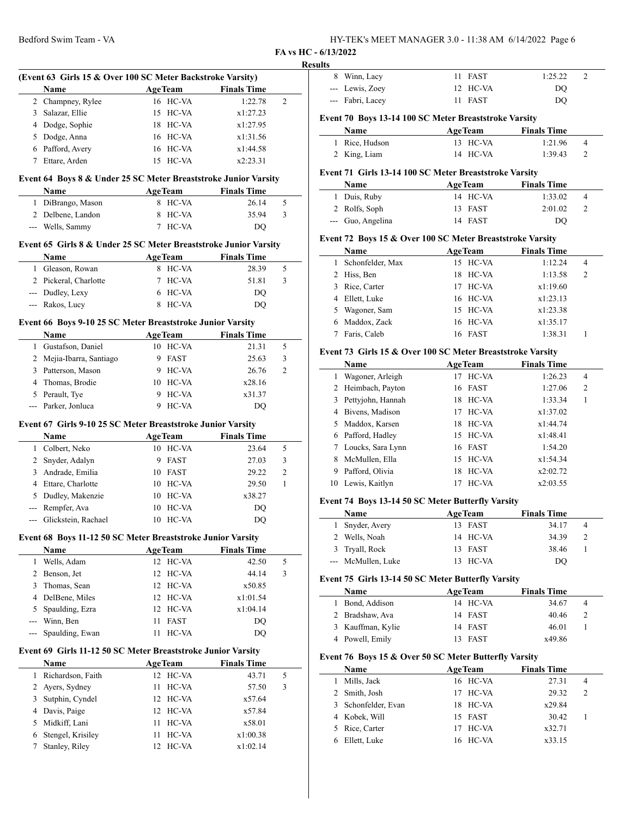| HY-TEK's MEET MANAGER 3.0 - 11:38 AM 6/14/2022 Page 6 |  |
|-------------------------------------------------------|--|
|-------------------------------------------------------|--|

**FA vs HC - 6/13/2022**

# Bedford Swim Team - VA **Result (Event 63 Girls 15 & Over 100 SC Meter Backstroke Varsity) Name Age Team Finals Time** 2 Champney, Rylee 16 HC-VA 1:22.78 2 3 Salazar, Ellie 15 HC-VA x1:27.23 4 Dodge, Sophie 18 HC-VA x1:27.95  $\overline{a}$ 5 Dodge, Anna 16 HC-VA x1:31.56 6 Pafford, Avery 16 HC-VA x1:44.58 7 Ettare, Arden 15 HC-VA x2:23.31 **Event 64 Boys 8 & Under 25 SC Meter Breaststroke Junior Varsity Name Age Team Finals Time** 1 DiBrango, Mason 8 HC-VA 26.14 5 2 Delbene, Landon 8 HC-VA 35.94 3 --- Wells, Sammy 7 HC-VA DQ **Event 65 Girls 8 & Under 25 SC Meter Breaststroke Junior Varsity Name Age Team Finals Time** 1 Gleason, Rowan 8 HC-VA 28.39 5 2 Pickeral, Charlotte 7 HC-VA 51.81 3 --- Dudley, Lexy 6 HC-VA DQ --- Rakos, Lucy 8 HC-VA DQ **Event 66 Boys 9-10 25 SC Meter Breaststroke Junior Varsity Name Age Team Finals Time** 1 Gustafson, Daniel 10 HC-VA 21.31 5 2 Mejia-Ibarra, Santiago 9 FAST 25.63 3 3 Patterson, Mason 9 HC-VA 26.76 2 4 Thomas, Brodie 10 HC-VA x28.16 5 Perault, Tye 9 HC-VA  $x31.37$ --- Parker, Jonluca 9 HC-VA DQ **Event 67 Girls 9-10 25 SC Meter Breaststroke Junior Varsity Name Age Team Finals Time** 1 Colbert, Neko 10 HC-VA 23.64 5 2 Snyder, Adalyn 9 FAST 27.03 3 3 Andrade, Emilia 10 FAST 29.22 2 4 Ettare, Charlotte 10 HC-VA 29.50 1 5 Dudley, Makenzie 10 HC-VA x38.27 --- Rempfer, Ava 10 HC-VA DQ --- Glickstein, Rachael 10 HC-VA DQ **Event 68 Boys 11-12 50 SC Meter Breaststroke Junior Varsity Name Age Team Finals Time** 1 Wells, Adam 12 HC-VA 42.50 5 2 Benson, Jet 12 HC-VA 44.14 3 3 Thomas, Sean 12 HC-VA x50.85  $\overline{a}$ 4 DelBene, Miles 12 HC-VA x1:01.54 5 Spaulding, Ezra 12 HC-VA x1:04.14 --- Winn, Ben 11 FAST DQ --- Spaulding, Ewan 11 HC-VA DQ **Event 69 Girls 11-12 50 SC Meter Breaststroke Junior Varsity Name Age Team Finals Time** 1 Richardson, Faith 12 HC-VA 43.71 5 2 Ayers, Sydney 11 HC-VA 57.50 3 3 Sutphin, Cyndel 12 HC-VA x57.64 4 Davis, Paige 12 HC-VA x57.84 5 Midkiff, Lani 11 HC-VA x58.01 6 Stengel, Krisiley 11 HC-VA x1:00.38 7 Stanley, Riley 12 HC-VA x1:02.14

| lts            |                                                            |                            |                               |                |
|----------------|------------------------------------------------------------|----------------------------|-------------------------------|----------------|
| 8              | Winn, Lacy                                                 | 11<br>FAST                 | 1:25.22                       | $\overline{c}$ |
|                | --- Lewis, Zoey                                            | 12<br>HC-VA                | DQ                            |                |
|                | --- Fabri, Lacey                                           | 11<br><b>FAST</b>          | DQ                            |                |
|                |                                                            |                            |                               |                |
|                | Event 70 Boys 13-14 100 SC Meter Breaststroke Varsity      |                            |                               |                |
| 1              | Name<br>Rice, Hudson                                       | <b>AgeTeam</b><br>13 HC-VA | <b>Finals Time</b><br>1:21.96 | 4              |
| 2              | King, Liam                                                 | HC-VA<br>14                | 1:39.43                       | 2              |
|                |                                                            |                            |                               |                |
|                | Event 71 Girls 13-14 100 SC Meter Breaststroke Varsity     |                            |                               |                |
|                | Name                                                       | <b>AgeTeam</b>             | <b>Finals Time</b>            |                |
| 1              | Duis, Ruby                                                 | 14 HC-VA                   | 1:33.02                       | 4              |
| 2              | Rolfs, Soph                                                | 13<br>FAST                 | 2:01.02                       | 2              |
|                | --- Guo, Angelina                                          | 14 FAST                    | DQ                            |                |
|                | Event 72 Boys 15 & Over 100 SC Meter Breaststroke Varsity  |                            |                               |                |
|                | Name                                                       | <b>AgeTeam</b>             | <b>Finals Time</b>            |                |
| 1              | Schonfelder, Max                                           | 15 HC-VA                   | 1:12.24                       | 4              |
| 2              | Hiss, Ben                                                  | 18<br>HC-VA                | 1:13.58                       | 2              |
| 3              | Rice, Carter                                               | HC-VA<br>17                | x1:19.60                      |                |
| 4              | Ellett, Luke                                               | HC-VA<br>16                | x1:23.13                      |                |
| 5              | Wagoner, Sam                                               | 15<br>HC-VA                | x1:23.38                      |                |
| 6              | Maddox, Zack                                               | 16<br>HC-VA                | x1:35.17                      |                |
| 7              | Faris, Caleb                                               | 16 FAST                    | 1:38.31                       | 1              |
|                |                                                            |                            |                               |                |
|                | Event 73 Girls 15 & Over 100 SC Meter Breaststroke Varsity |                            |                               |                |
|                | Name                                                       | <b>AgeTeam</b>             | <b>Finals Time</b>            |                |
| 1              | Wagoner, Arleigh                                           | 17 HC-VA                   | 1:26.23                       | 4              |
| 2<br>3         | Heimbach, Payton<br>Pettyjohn, Hannah                      | 16<br>FAST<br>18 HC-VA     | 1:27.06<br>1:33.34            | 2<br>1         |
| 4              |                                                            | 17 HC-VA                   | x1:37.02                      |                |
|                | Bivens, Madison<br>Maddox, Karsen                          |                            |                               |                |
| 5<br>6         | Pafford, Hadley                                            | HC-VA<br>18<br>15 HC-VA    | x1:44.74<br>x1:48.41          |                |
| 7              | Loucks, Sara Lynn                                          | FAST<br>16                 | 1:54.20                       |                |
| 8              | McMullen, Ella                                             | HC-VA<br>15                | x1:54.34                      |                |
| 9              | Pafford, Olivia                                            | HC-VA<br>18                | x2:02.72                      |                |
|                | 10 Lewis, Kaitlyn                                          | 17<br>HC-VA                | x2:03.55                      |                |
|                |                                                            |                            |                               |                |
|                |                                                            |                            |                               |                |
|                | Event 74 Boys 13-14 50 SC Meter Butterfly Varsity          |                            |                               |                |
|                | Name                                                       | <b>AgeTeam</b>             | <b>Finals Time</b>            |                |
| 1              | Snyder, Avery                                              | FAST<br>13                 | 34.17                         | 4              |
| 2              | Wells, Noah                                                | 14<br>HC-VA                | 34.39                         | 2              |
| 3              | Tryall, Rock                                               | FAST<br>13                 | 38.46                         | 1              |
| $\overline{a}$ | McMullen, Luke                                             | HC-VA<br>13                | $\rm DQ$                      |                |
|                | Event 75 Girls 13-14 50 SC Meter Butterfly Varsity         |                            |                               |                |
|                | Name                                                       | <b>AgeTeam</b>             | <b>Finals Time</b>            |                |
| 1              | Bond, Addison                                              | 14 HC-VA                   | 34.67                         | 4              |
| 2              | Bradshaw, Ava                                              | 14<br>FAST                 | 40.46                         | 2              |
| 3              | Kauffman, Kylie                                            | 14 FAST                    | 46.01                         | 1              |
|                | 4 Powell, Emily                                            | FAST<br>13                 | x49.86                        |                |
|                |                                                            |                            |                               |                |
|                | Event 76 Boys 15 & Over 50 SC Meter Butterfly Varsity      |                            |                               |                |
|                | Name                                                       | <b>AgeTeam</b>             | <b>Finals Time</b>            |                |
| 1              | Mills, Jack                                                | 16 HC-VA                   | 27.31                         | 4              |
| 2              | Smith, Josh                                                | 17<br>HC-VA                | 29.32                         | 2              |
| 3              | Schonfelder, Evan                                          | 18<br>HC-VA                | x29.84                        |                |
| 4<br>5         | Kobek, Will<br>Rice, Carter                                | 15<br>FAST<br>HC-VA<br>17  | 30.42<br>x32.71               | 1              |